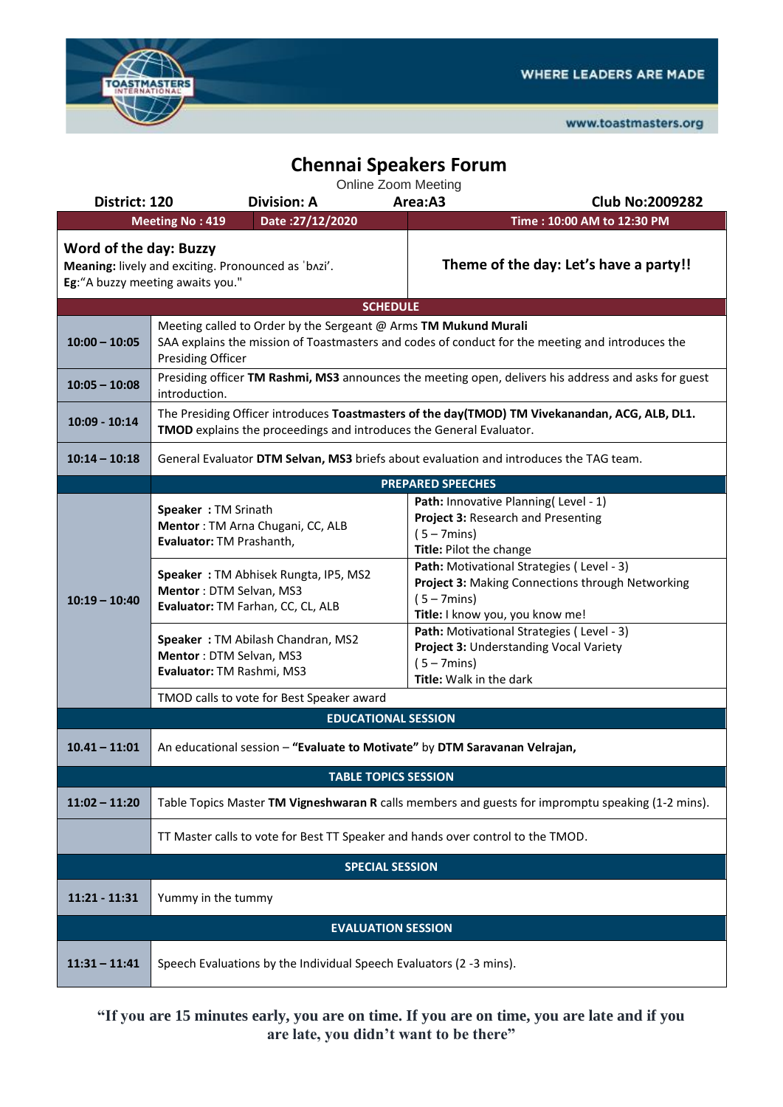

www.toastmasters.org

| <b>Chennai Speakers Forum</b>                                                                                                                                |                                                                                                                                                                                                 |                                                                                                                                                    |  |  |  |  |
|--------------------------------------------------------------------------------------------------------------------------------------------------------------|-------------------------------------------------------------------------------------------------------------------------------------------------------------------------------------------------|----------------------------------------------------------------------------------------------------------------------------------------------------|--|--|--|--|
| Online Zoom Meeting<br>District: 120<br><b>Division: A</b>                                                                                                   |                                                                                                                                                                                                 | Area:A3<br><b>Club No:2009282</b>                                                                                                                  |  |  |  |  |
|                                                                                                                                                              | Date: 27/12/2020<br><b>Meeting No: 419</b>                                                                                                                                                      | Time: 10:00 AM to 12:30 PM                                                                                                                         |  |  |  |  |
| Word of the day: Buzzy<br>Theme of the day: Let's have a party!!<br>Meaning: lively and exciting. Pronounced as 'b^zi'.<br>Eg: "A buzzy meeting awaits you." |                                                                                                                                                                                                 |                                                                                                                                                    |  |  |  |  |
|                                                                                                                                                              | <b>SCHEDULE</b>                                                                                                                                                                                 |                                                                                                                                                    |  |  |  |  |
| $10:00 - 10:05$                                                                                                                                              | Meeting called to Order by the Sergeant @ Arms TM Mukund Murali<br>SAA explains the mission of Toastmasters and codes of conduct for the meeting and introduces the<br><b>Presiding Officer</b> |                                                                                                                                                    |  |  |  |  |
| $10:05 - 10:08$                                                                                                                                              | Presiding officer TM Rashmi, MS3 announces the meeting open, delivers his address and asks for guest<br>introduction.                                                                           |                                                                                                                                                    |  |  |  |  |
| $10:09 - 10:14$                                                                                                                                              | The Presiding Officer introduces Toastmasters of the day(TMOD) TM Vivekanandan, ACG, ALB, DL1.<br>TMOD explains the proceedings and introduces the General Evaluator.                           |                                                                                                                                                    |  |  |  |  |
| $10:14 - 10:18$                                                                                                                                              | General Evaluator DTM Selvan, MS3 briefs about evaluation and introduces the TAG team.                                                                                                          |                                                                                                                                                    |  |  |  |  |
|                                                                                                                                                              |                                                                                                                                                                                                 | <b>PREPARED SPEECHES</b>                                                                                                                           |  |  |  |  |
| $10:19 - 10:40$                                                                                                                                              | Speaker: TM Srinath<br>Mentor: TM Arna Chugani, CC, ALB<br>Evaluator: TM Prashanth,                                                                                                             | Path: Innovative Planning(Level - 1)<br>Project 3: Research and Presenting<br>$(5 - 7$ mins)<br>Title: Pilot the change                            |  |  |  |  |
|                                                                                                                                                              | Speaker: TM Abhisek Rungta, IP5, MS2<br>Mentor: DTM Selvan, MS3<br>Evaluator: TM Farhan, CC, CL, ALB                                                                                            | Path: Motivational Strategies (Level - 3)<br>Project 3: Making Connections through Networking<br>$(5 - 7$ mins)<br>Title: I know you, you know me! |  |  |  |  |
|                                                                                                                                                              | Speaker: TM Abilash Chandran, MS2<br>Mentor: DTM Selvan, MS3<br>Evaluator: TM Rashmi, MS3                                                                                                       | Path: Motivational Strategies (Level - 3)<br>Project 3: Understanding Vocal Variety<br>$(5 - 7 mins)$<br>Title: Walk in the dark                   |  |  |  |  |
|                                                                                                                                                              | TMOD calls to vote for Best Speaker award                                                                                                                                                       |                                                                                                                                                    |  |  |  |  |
|                                                                                                                                                              | <b>EDUCATIONAL SESSION</b>                                                                                                                                                                      |                                                                                                                                                    |  |  |  |  |
| 10.41 – 11:01                                                                                                                                                | An educational session - "Evaluate to Motivate" by DTM Saravanan Velrajan,                                                                                                                      |                                                                                                                                                    |  |  |  |  |
|                                                                                                                                                              | <b>TABLE TOPICS SESSION</b>                                                                                                                                                                     |                                                                                                                                                    |  |  |  |  |
| $11:02 - 11:20$                                                                                                                                              | Table Topics Master TM Vigneshwaran R calls members and guests for impromptu speaking (1-2 mins).                                                                                               |                                                                                                                                                    |  |  |  |  |
|                                                                                                                                                              | TT Master calls to vote for Best TT Speaker and hands over control to the TMOD.                                                                                                                 |                                                                                                                                                    |  |  |  |  |
|                                                                                                                                                              | <b>SPECIAL SESSION</b>                                                                                                                                                                          |                                                                                                                                                    |  |  |  |  |
| $11:21 - 11:31$                                                                                                                                              | Yummy in the tummy                                                                                                                                                                              |                                                                                                                                                    |  |  |  |  |
| <b>EVALUATION SESSION</b>                                                                                                                                    |                                                                                                                                                                                                 |                                                                                                                                                    |  |  |  |  |
| $11:31 - 11:41$                                                                                                                                              | Speech Evaluations by the Individual Speech Evaluators (2 -3 mins).                                                                                                                             |                                                                                                                                                    |  |  |  |  |

**"If you are 15 minutes early, you are on time. If you are on time, you are late and if you are late, you didn't want to be there"**